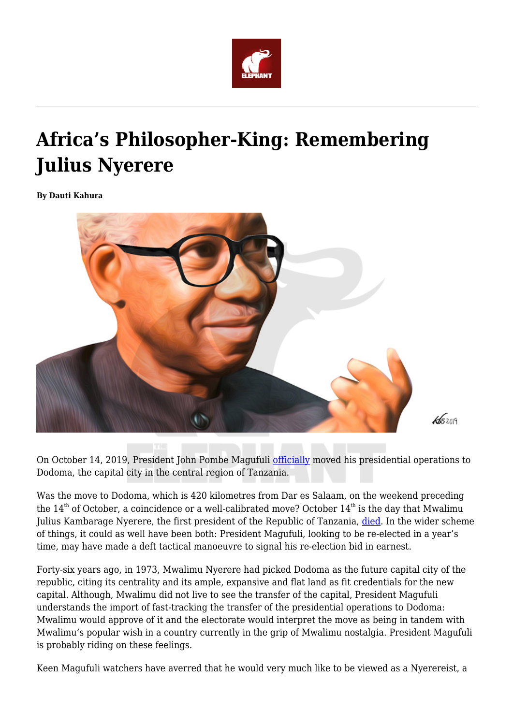

# **Africa's Philosopher-King: Remembering Julius Nyerere**

**By Dauti Kahura**



On October 14, 2019, President John Pombe Magufuli [officially](https://www.thecitizen.co.tz/news/1840340-5309466-9rei7r/index.html) moved his presidential operations to Dodoma, the capital city in the central region of Tanzania.

Was the move to Dodoma, which is 420 kilometres from Dar es Salaam, on the weekend preceding the  $14<sup>th</sup>$  of October, a coincidence or a well-calibrated move? October  $14<sup>th</sup>$  is the day that Mwalimu Julius Kambarage Nyerere, the first president of the Republic of Tanzania, [died.](https://www.irishtimes.com/news/julius-nyerere-father-of-tanzanian-nation-dies-in-a-london-hospital-1.238940) In the wider scheme of things, it could as well have been both: President Magufuli, looking to be re-elected in a year's time, may have made a deft tactical manoeuvre to signal his re-election bid in earnest.

Forty-six years ago, in 1973, Mwalimu Nyerere had picked Dodoma as the future capital city of the republic, citing its centrality and its ample, expansive and flat land as fit credentials for the new capital. Although, Mwalimu did not live to see the transfer of the capital, President Magufuli understands the import of fast-tracking the transfer of the presidential operations to Dodoma: Mwalimu would approve of it and the electorate would interpret the move as being in tandem with Mwalimu's popular wish in a country currently in the grip of Mwalimu nostalgia. President Magufuli is probably riding on these feelings.

Keen Magufuli watchers have averred that he would very much like to be viewed as a Nyerereist, a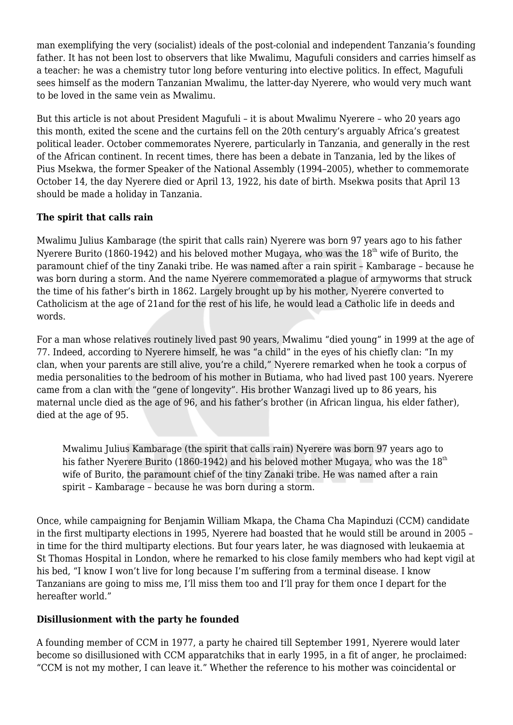man exemplifying the very (socialist) ideals of the post-colonial and independent Tanzania's founding father. It has not been lost to observers that like Mwalimu, Magufuli considers and carries himself as a teacher: he was a chemistry tutor long before venturing into elective politics. In effect, Magufuli sees himself as the modern Tanzanian Mwalimu, the latter-day Nyerere, who would very much want to be loved in the same vein as Mwalimu.

But this article is not about President Magufuli – it is about Mwalimu Nyerere – who 20 years ago this month, exited the scene and the curtains fell on the 20th century's arguably Africa's greatest political leader. October commemorates Nyerere, particularly in Tanzania, and generally in the rest of the African continent. In recent times, there has been a debate in Tanzania, led by the likes of Pius Msekwa, the former Speaker of the National Assembly (1994–2005), whether to commemorate October 14, the day Nyerere died or April 13, 1922, his date of birth. Msekwa posits that April 13 should be made a holiday in Tanzania.

# **The spirit that calls rain**

Mwalimu Julius Kambarage (the spirit that calls rain) Nyerere was born 97 years ago to his father Nyerere Burito (1860-1942) and his beloved mother Mugaya, who was the  $18<sup>th</sup>$  wife of Burito, the paramount chief of the tiny Zanaki tribe. He was named after a rain spirit – Kambarage – because he was born during a storm. And the name Nyerere commemorated a plague of armyworms that struck the time of his father's birth in 1862. Largely brought up by his mother, Nyerere converted to Catholicism at the age of 21and for the rest of his life, he would lead a Catholic life in deeds and words.

For a man whose relatives routinely lived past 90 years, Mwalimu "died young" in 1999 at the age of 77. Indeed, according to Nyerere himself, he was "a child" in the eyes of his chiefly clan: "In my clan, when your parents are still alive, you're a child," Nyerere remarked when he took a corpus of media personalities to the bedroom of his mother in Butiama, who had lived past 100 years. Nyerere came from a clan with the "gene of longevity". His brother Wanzagi lived up to 86 years, his maternal uncle died as the age of 96, and his father's brother (in African lingua, his elder father), died at the age of 95.

Mwalimu Julius Kambarage (the spirit that calls rain) Nyerere was born 97 years ago to his father Nyerere Burito (1860-1942) and his beloved mother Mugaya, who was the  $18<sup>th</sup>$ wife of Burito, the paramount chief of the tiny Zanaki tribe. He was named after a rain spirit – Kambarage – because he was born during a storm.

Once, while campaigning for Benjamin William Mkapa, the Chama Cha Mapinduzi (CCM) candidate in the first multiparty elections in 1995, Nyerere had boasted that he would still be around in 2005 – in time for the third multiparty elections. But four years later, he was diagnosed with leukaemia at St Thomas Hospital in London, where he remarked to his close family members who had kept vigil at his bed, "I know I won't live for long because I'm suffering from a terminal disease. I know Tanzanians are going to miss me, I'll miss them too and I'll pray for them once I depart for the hereafter world."

### **Disillusionment with the party he founded**

A founding member of CCM in 1977, a party he chaired till September 1991, Nyerere would later become so disillusioned with CCM apparatchiks that in early 1995, in a fit of anger, he proclaimed: "CCM is not my mother, I can leave it." Whether the reference to his mother was coincidental or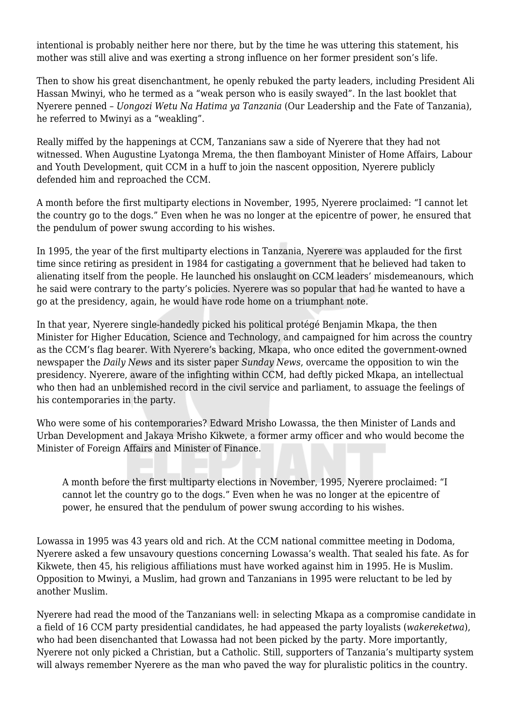intentional is probably neither here nor there, but by the time he was uttering this statement, his mother was still alive and was exerting a strong influence on her former president son's life.

Then to show his great disenchantment, he openly rebuked the party leaders, including President Ali Hassan Mwinyi, who he termed as a "weak person who is easily swayed". In the last booklet that Nyerere penned – *Uongozi Wetu Na Hatima ya Tanzania* (Our Leadership and the Fate of Tanzania), he referred to Mwinyi as a "weakling".

Really miffed by the happenings at CCM, Tanzanians saw a side of Nyerere that they had not witnessed. When Augustine Lyatonga Mrema, the then flamboyant Minister of Home Affairs, Labour and Youth Development, quit CCM in a huff to join the nascent opposition, Nyerere publicly defended him and reproached the CCM.

A month before the first multiparty elections in November, 1995, Nyerere proclaimed: "I cannot let the country go to the dogs." Even when he was no longer at the epicentre of power, he ensured that the pendulum of power swung according to his wishes.

In 1995, the year of the first multiparty elections in Tanzania, Nyerere was applauded for the first time since retiring as president in 1984 for castigating a government that he believed had taken to alienating itself from the people. He launched his onslaught on CCM leaders' misdemeanours, which he said were contrary to the party's policies. Nyerere was so popular that had he wanted to have a go at the presidency, again, he would have rode home on a triumphant note.

In that year, Nyerere single-handedly picked his political protégé Benjamin Mkapa, the then Minister for Higher Education, Science and Technology, and campaigned for him across the country as the CCM's flag bearer. With Nyerere's backing, Mkapa, who once edited the government-owned newspaper the *Daily News* and its sister paper *Sunday News*, overcame the opposition to win the presidency. Nyerere, aware of the infighting within CCM, had deftly picked Mkapa, an intellectual who then had an unblemished record in the civil service and parliament, to assuage the feelings of his contemporaries in the party.

Who were some of his contemporaries? Edward Mrisho Lowassa, the then Minister of Lands and Urban Development and Jakaya Mrisho Kikwete, a former army officer and who would become the Minister of Foreign Affairs and Minister of Finance.

A month before the first multiparty elections in November, 1995, Nyerere proclaimed: "I cannot let the country go to the dogs." Even when he was no longer at the epicentre of power, he ensured that the pendulum of power swung according to his wishes.

Lowassa in 1995 was 43 years old and rich. At the CCM national committee meeting in Dodoma, Nyerere asked a few unsavoury questions concerning Lowassa's wealth. That sealed his fate. As for Kikwete, then 45, his religious affiliations must have worked against him in 1995. He is Muslim. Opposition to Mwinyi, a Muslim, had grown and Tanzanians in 1995 were reluctant to be led by another Muslim.

Nyerere had read the mood of the Tanzanians well: in selecting Mkapa as a compromise candidate in a field of 16 CCM party presidential candidates, he had appeased the party loyalists (*wakereketwa*), who had been disenchanted that Lowassa had not been picked by the party. More importantly, Nyerere not only picked a Christian, but a Catholic. Still, supporters of Tanzania's multiparty system will always remember Nyerere as the man who paved the way for pluralistic politics in the country.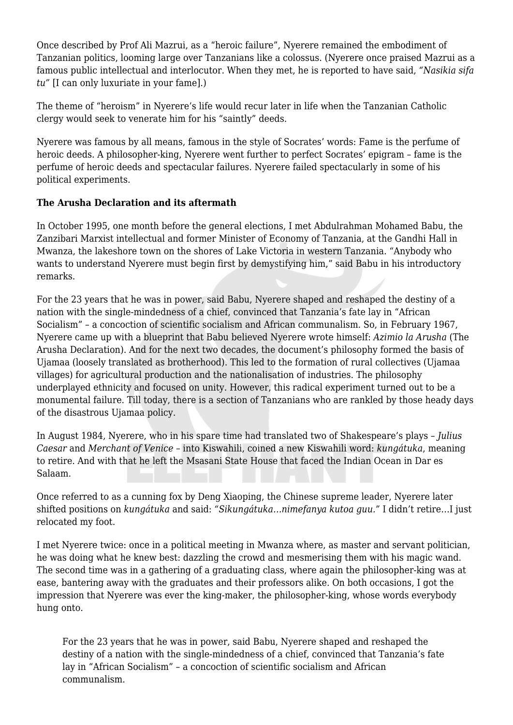Once described by Prof Ali Mazrui, as a "heroic failure", Nyerere remained the embodiment of Tanzanian politics, looming large over Tanzanians like a colossus. (Nyerere once praised Mazrui as a famous public intellectual and interlocutor. When they met, he is reported to have said, *"Nasikia sifa tu"* [I can only luxuriate in your fame].)

The theme of "heroism" in Nyerere's life would recur later in life when the Tanzanian Catholic clergy would seek to venerate him for his "saintly" deeds.

Nyerere was famous by all means, famous in the style of Socrates' words: Fame is the perfume of heroic deeds. A philosopher-king, Nyerere went further to perfect Socrates' epigram – fame is the perfume of heroic deeds and spectacular failures. Nyerere failed spectacularly in some of his political experiments.

# **The Arusha Declaration and its aftermath**

In October 1995, one month before the general elections, I met Abdulrahman Mohamed Babu, the Zanzibari Marxist intellectual and former Minister of Economy of Tanzania, at the Gandhi Hall in Mwanza, the lakeshore town on the shores of Lake Victoria in western Tanzania. "Anybody who wants to understand Nyerere must begin first by demystifying him," said Babu in his introductory remarks.

For the 23 years that he was in power, said Babu, Nyerere shaped and reshaped the destiny of a nation with the single-mindedness of a chief, convinced that Tanzania's fate lay in "African Socialism" – a concoction of scientific socialism and African communalism. So, in February 1967, Nyerere came up with a blueprint that Babu believed Nyerere wrote himself: *Azimio la Arusha* (The Arusha Declaration). And for the next two decades, the document's philosophy formed the basis of Ujamaa (loosely translated as brotherhood). This led to the formation of rural collectives (Ujamaa villages) for agricultural production and the nationalisation of industries. The philosophy underplayed ethnicity and focused on unity. However, this radical experiment turned out to be a monumental failure. Till today, there is a section of Tanzanians who are rankled by those heady days of the disastrous Ujamaa policy.

In August 1984, Nyerere, who in his spare time had translated two of Shakespeare's plays – *Julius Caesar* and *Merchant of Venice* – into Kiswahili, coined a new Kiswahili word: *kungátuka*, meaning to retire. And with that he left the Msasani State House that faced the Indian Ocean in Dar es Salaam.

Once referred to as a cunning fox by Deng Xiaoping, the Chinese supreme leader, Nyerere later shifted positions on *kungátuka* and said: *"Sikungátuka…nimefanya kutoa guu."* I didn't retire…I just relocated my foot.

I met Nyerere twice: once in a political meeting in Mwanza where, as master and servant politician, he was doing what he knew best: dazzling the crowd and mesmerising them with his magic wand. The second time was in a gathering of a graduating class, where again the philosopher-king was at ease, bantering away with the graduates and their professors alike. On both occasions, I got the impression that Nyerere was ever the king-maker, the philosopher-king, whose words everybody hung onto.

For the 23 years that he was in power, said Babu, Nyerere shaped and reshaped the destiny of a nation with the single-mindedness of a chief, convinced that Tanzania's fate lay in "African Socialism" – a concoction of scientific socialism and African communalism.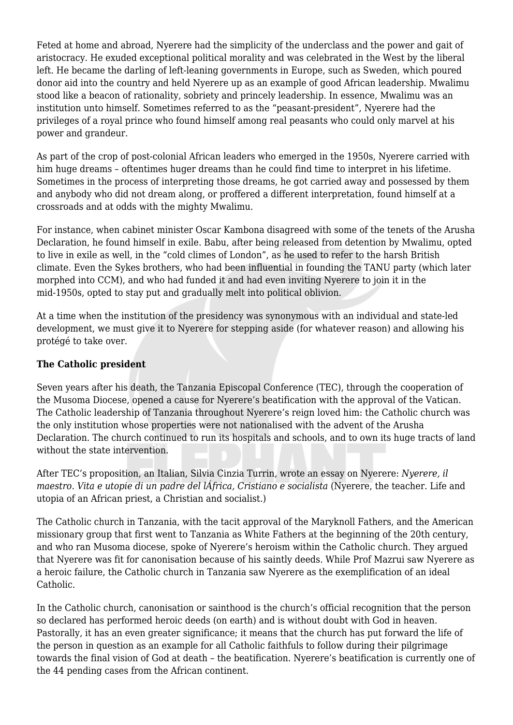Feted at home and abroad, Nyerere had the simplicity of the underclass and the power and gait of aristocracy. He exuded exceptional political morality and was celebrated in the West by the liberal left. He became the darling of left-leaning governments in Europe, such as Sweden, which poured donor aid into the country and held Nyerere up as an example of good African leadership. Mwalimu stood like a beacon of rationality, sobriety and princely leadership. In essence, Mwalimu was an institution unto himself. Sometimes referred to as the "peasant-president", Nyerere had the privileges of a royal prince who found himself among real peasants who could only marvel at his power and grandeur.

As part of the crop of post-colonial African leaders who emerged in the 1950s, Nyerere carried with him huge dreams – oftentimes huger dreams than he could find time to interpret in his lifetime. Sometimes in the process of interpreting those dreams, he got carried away and possessed by them and anybody who did not dream along, or proffered a different interpretation, found himself at a crossroads and at odds with the mighty Mwalimu.

For instance, when cabinet minister Oscar Kambona disagreed with some of the tenets of the Arusha Declaration, he found himself in exile. Babu, after being released from detention by Mwalimu, opted to live in exile as well, in the "cold climes of London", as he used to refer to the harsh British climate. Even the Sykes brothers, who had been influential in founding the TANU party (which later morphed into CCM), and who had funded it and had even inviting Nyerere to join it in the mid-1950s, opted to stay put and gradually melt into political oblivion.

At a time when the institution of the presidency was synonymous with an individual and state-led development, we must give it to Nyerere for stepping aside (for whatever reason) and allowing his protégé to take over.

# **The Catholic president**

Seven years after his death, the Tanzania Episcopal Conference (TEC), through the cooperation of the Musoma Diocese, opened a cause for Nyerere's beatification with the approval of the Vatican. The Catholic leadership of Tanzania throughout Nyerere's reign loved him: the Catholic church was the only institution whose properties were not nationalised with the advent of the Arusha Declaration. The church continued to run its hospitals and schools, and to own its huge tracts of land without the state intervention.

After TEC's proposition, an Italian, Silvia Cinzia Turrin, wrote an essay on Nyerere: *Nyerere, il maestro. Vita e utopie di un padre del lÁfrica, Cristiano e socialista* (Nyerere, the teacher. Life and utopia of an African priest, a Christian and socialist.)

The Catholic church in Tanzania, with the tacit approval of the Maryknoll Fathers, and the American missionary group that first went to Tanzania as White Fathers at the beginning of the 20th century, and who ran Musoma diocese, spoke of Nyerere's heroism within the Catholic church. They argued that Nyerere was fit for canonisation because of his saintly deeds. While Prof Mazrui saw Nyerere as a heroic failure, the Catholic church in Tanzania saw Nyerere as the exemplification of an ideal Catholic.

In the Catholic church, canonisation or sainthood is the church's official recognition that the person so declared has performed heroic deeds (on earth) and is without doubt with God in heaven. Pastorally, it has an even greater significance; it means that the church has put forward the life of the person in question as an example for all Catholic faithfuls to follow during their pilgrimage towards the final vision of God at death – the beatification. Nyerere's beatification is currently one of the 44 pending cases from the African continent.